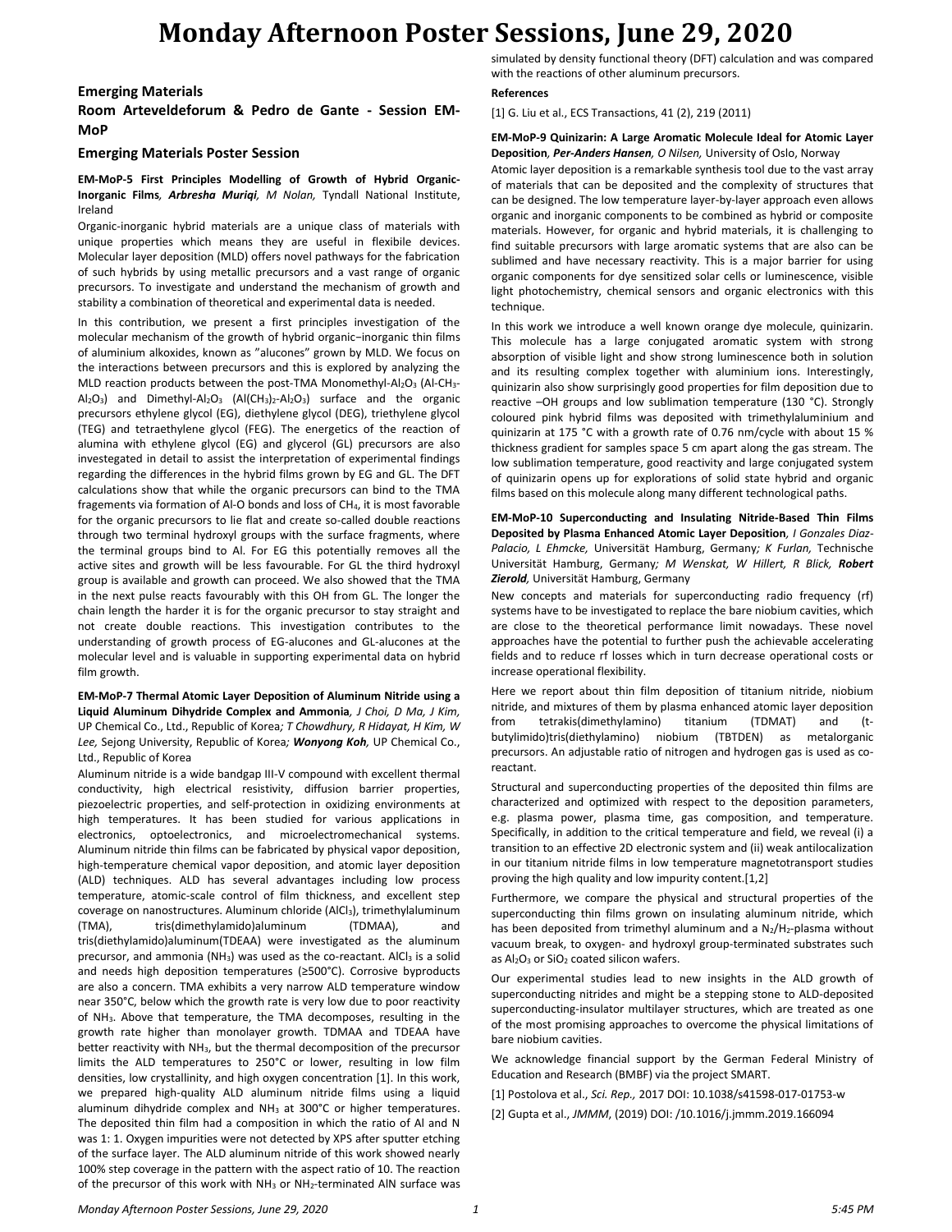#### **Emerging Materials**

**Room Arteveldeforum & Pedro de Gante - Session EM-MoP**

#### **Emerging Materials Poster Session**

#### **EM-MoP-5 First Principles Modelling of Growth of Hybrid Organic-Inorganic Films***, Arbresha Muriqi, M Nolan,* Tyndall National Institute, Ireland

Organic-inorganic hybrid materials are a unique class of materials with unique properties which means they are useful in flexibile devices. Molecular layer deposition (MLD) offers novel pathways for the fabrication of such hybrids by using metallic precursors and a vast range of organic precursors. To investigate and understand the mechanism of growth and stability a combination of theoretical and experimental data is needed.

In this contribution, we present a first principles investigation of the molecular mechanism of the growth of hybrid organic−inorganic thin films of aluminium alkoxides, known as "alucones" grown by MLD. We focus on the interactions between precursors and this is explored by analyzing the MLD reaction products between the post-TMA Monomethyl-Al2O3 (Al-CH3- $Al_2O_3$ ) and Dimethyl-Al<sub>2</sub>O<sub>3</sub> (Al(CH<sub>3</sub>)<sub>2</sub>-Al<sub>2</sub>O<sub>3</sub>) surface and the organic precursors ethylene glycol (EG), diethylene glycol (DEG), triethylene glycol (TEG) and tetraethylene glycol (FEG). The energetics of the reaction of alumina with ethylene glycol (EG) and glycerol (GL) precursors are also investegated in detail to assist the interpretation of experimental findings regarding the differences in the hybrid films grown by EG and GL. The DFT calculations show that while the organic precursors can bind to the TMA fragements via formation of Al-O bonds and loss of CH<sub>4</sub>, it is most favorable for the organic precursors to lie flat and create so-called double reactions through two terminal hydroxyl groups with the surface fragments, where the terminal groups bind to Al. For EG this potentially removes all the active sites and growth will be less favourable. For GL the third hydroxyl group is available and growth can proceed. We also showed that the TMA in the next pulse reacts favourably with this OH from GL. The longer the chain length the harder it is for the organic precursor to stay straight and not create double reactions. This investigation contributes to the understanding of growth process of EG-alucones and GL-alucones at the molecular level and is valuable in supporting experimental data on hybrid film growth.

**EM-MoP-7 Thermal Atomic Layer Deposition of Aluminum Nitride using a Liquid Aluminum Dihydride Complex and Ammonia***, J Choi, D Ma, J Kim,*  UP Chemical Co., Ltd., Republic of Korea*; T Chowdhury, R Hidayat, H Kim, W Lee,* Sejong University, Republic of Korea*; Wonyong Koh,* UP Chemical Co., Ltd., Republic of Korea

Aluminum nitride is a wide bandgap III-V compound with excellent thermal conductivity, high electrical resistivity, diffusion barrier properties, piezoelectric properties, and self-protection in oxidizing environments at high temperatures. It has been studied for various applications in electronics, optoelectronics, and microelectromechanical systems. Aluminum nitride thin films can be fabricated by physical vapor deposition, high-temperature chemical vapor deposition, and atomic layer deposition (ALD) techniques. ALD has several advantages including low process temperature, atomic-scale control of film thickness, and excellent step coverage on nanostructures. Aluminum chloride (AlCl<sub>3</sub>), trimethylaluminum (TMA), tris(dimethylamido)aluminum (TDMAA), and tris(diethylamido)aluminum(TDEAA) were investigated as the aluminum precursor, and ammonia (NH<sub>3</sub>) was used as the co-reactant. AlCl<sub>3</sub> is a solid and needs high deposition temperatures (≥500°C). Corrosive byproducts are also a concern. TMA exhibits a very narrow ALD temperature window near 350°C, below which the growth rate is very low due to poor reactivity of NH3. Above that temperature, the TMA decomposes, resulting in the growth rate higher than monolayer growth. TDMAA and TDEAA have better reactivity with NH3, but the thermal decomposition of the precursor limits the ALD temperatures to 250°C or lower, resulting in low film densities, low crystallinity, and high oxygen concentration [1]. In this work, we prepared high-quality ALD aluminum nitride films using a liquid aluminum dihydride complex and NH<sub>3</sub> at 300°C or higher temperatures. The deposited thin film had a composition in which the ratio of Al and N was 1: 1. Oxygen impurities were not detected by XPS after sputter etching of the surface layer. The ALD aluminum nitride of this work showed nearly 100% step coverage in the pattern with the aspect ratio of 10. The reaction of the precursor of this work with NH<sub>3</sub> or NH<sub>2</sub>-terminated AlN surface was simulated by density functional theory (DFT) calculation and was compared with the reactions of other aluminum precursors.

#### **References**

[1] G. Liu et al., ECS Transactions, 41 (2), 219 (2011)

#### **EM-MoP-9 Quinizarin: A Large Aromatic Molecule Ideal for Atomic Layer Deposition***, Per-Anders Hansen, O Nilsen,* University of Oslo, Norway

Atomic layer deposition is a remarkable synthesis tool due to the vast array of materials that can be deposited and the complexity of structures that can be designed. The low temperature layer-by-layer approach even allows organic and inorganic components to be combined as hybrid or composite materials. However, for organic and hybrid materials, it is challenging to find suitable precursors with large aromatic systems that are also can be sublimed and have necessary reactivity. This is a major barrier for using organic components for dye sensitized solar cells or luminescence, visible light photochemistry, chemical sensors and organic electronics with this technique.

In this work we introduce a well known orange dye molecule, quinizarin. This molecule has a large conjugated aromatic system with strong absorption of visible light and show strong luminescence both in solution and its resulting complex together with aluminium ions. Interestingly, quinizarin also show surprisingly good properties for film deposition due to reactive –OH groups and low sublimation temperature (130 °C). Strongly coloured pink hybrid films was deposited with trimethylaluminium and quinizarin at 175 °C with a growth rate of 0.76 nm/cycle with about 15 % thickness gradient for samples space 5 cm apart along the gas stream. The low sublimation temperature, good reactivity and large conjugated system of quinizarin opens up for explorations of solid state hybrid and organic films based on this molecule along many different technological paths.

**EM-MoP-10 Superconducting and Insulating Nitride-Based Thin Films Deposited by Plasma Enhanced Atomic Layer Deposition***, I Gonzales Diaz-Palacio, L Ehmcke,* Universität Hamburg, Germany*; K Furlan,* Technische Universität Hamburg, Germany*; M Wenskat, W Hillert, R Blick, Robert Zierold,* Universität Hamburg, Germany

New concepts and materials for superconducting radio frequency (rf) systems have to be investigated to replace the bare niobium cavities, which are close to the theoretical performance limit nowadays. These novel approaches have the potential to further push the achievable accelerating fields and to reduce rf losses which in turn decrease operational costs or increase operational flexibility.

Here we report about thin film deposition of titanium nitride, niobium nitride, and mixtures of them by plasma enhanced atomic layer deposition from tetrakis(dimethylamino) titanium (TDMAT) and butylimido)tris(diethylamino) niobium (TBTDEN) as metalorganic precursors. An adjustable ratio of nitrogen and hydrogen gas is used as coreactant.

Structural and superconducting properties of the deposited thin films are characterized and optimized with respect to the deposition parameters, e.g. plasma power, plasma time, gas composition, and temperature. Specifically, in addition to the critical temperature and field, we reveal (i) a transition to an effective 2D electronic system and (ii) weak antilocalization in our titanium nitride films in low temperature magnetotransport studies proving the high quality and low impurity content.[1,2]

Furthermore, we compare the physical and structural properties of the superconducting thin films grown on insulating aluminum nitride, which has been deposited from trimethyl aluminum and a  $N_2/H_2$ -plasma without vacuum break, to oxygen- and hydroxyl group-terminated substrates such as Al<sub>2</sub>O<sub>3</sub> or SiO<sub>2</sub> coated silicon wafers.

Our experimental studies lead to new insights in the ALD growth of superconducting nitrides and might be a stepping stone to ALD-deposited superconducting-insulator multilayer structures, which are treated as one of the most promising approaches to overcome the physical limitations of bare niobium cavities.

We acknowledge financial support by the German Federal Ministry of Education and Research (BMBF) via the project SMART.

[1] Postolova et al., *Sci. Rep.,* 2017 DOI: 10.1038/s41598-017-01753-w

[2] Gupta et al., *JMMM*, (2019) DOI: /10.1016/j.jmmm.2019.166094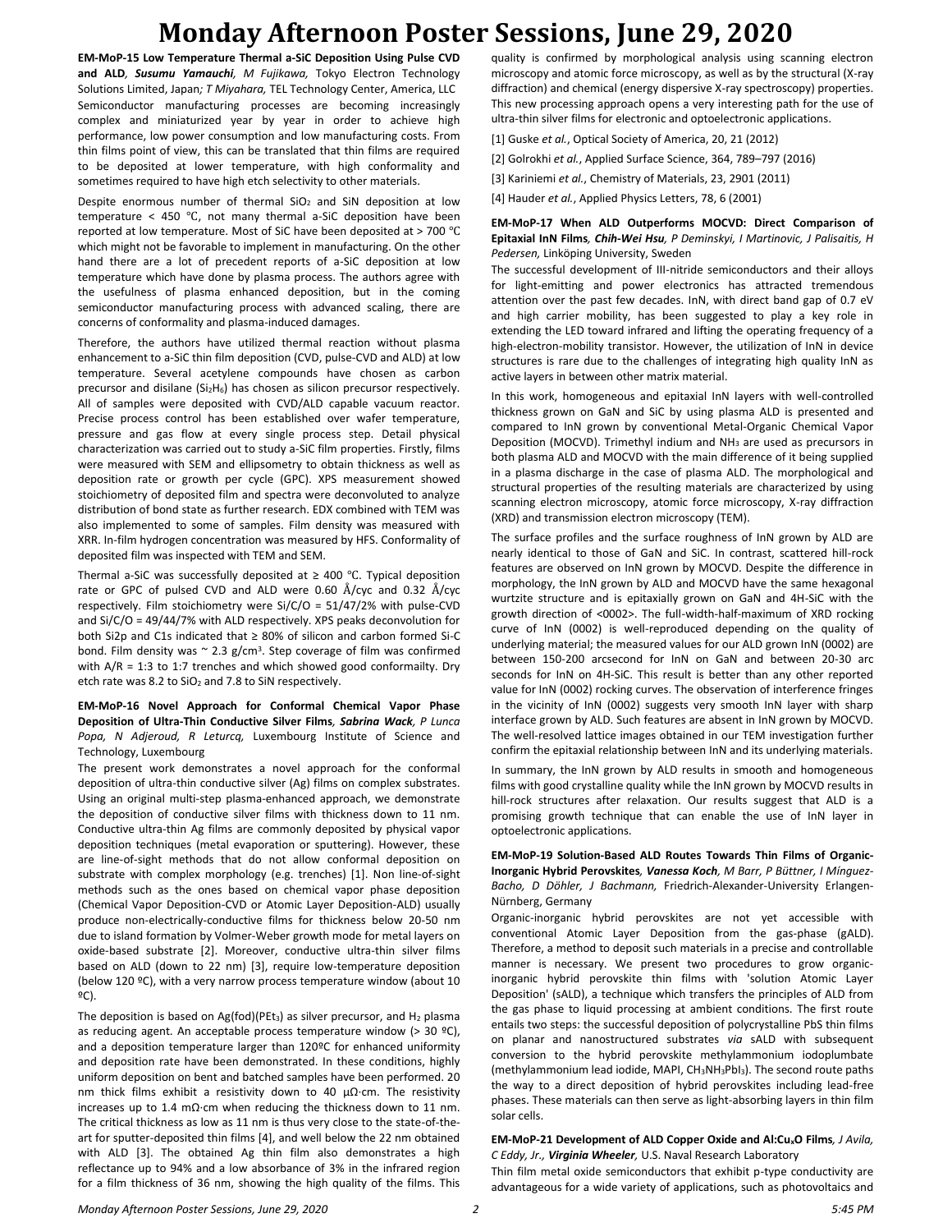**EM-MoP-15 Low Temperature Thermal a-SiC Deposition Using Pulse CVD and ALD***, Susumu Yamauchi, M Fujikawa,* Tokyo Electron Technology Solutions Limited, Japan*; T Miyahara,* TEL Technology Center, America, LLC Semiconductor manufacturing processes are becoming increasingly complex and miniaturized year by year in order to achieve high performance, low power consumption and low manufacturing costs. From thin films point of view, this can be translated that thin films are required to be deposited at lower temperature, with high conformality and sometimes required to have high etch selectivity to other materials.

Despite enormous number of thermal  $SiO<sub>2</sub>$  and  $SiN$  deposition at low temperature < 450 ℃, not many thermal a-SiC deposition have been reported at low temperature. Most of SiC have been deposited at > 700 ℃ which might not be favorable to implement in manufacturing. On the other hand there are a lot of precedent reports of a-SiC deposition at low temperature which have done by plasma process. The authors agree with the usefulness of plasma enhanced deposition, but in the coming semiconductor manufacturing process with advanced scaling, there are concerns of conformality and plasma-induced damages.

Therefore, the authors have utilized thermal reaction without plasma enhancement to a-SiC thin film deposition (CVD, pulse-CVD and ALD) at low temperature. Several acetylene compounds have chosen as carbon precursor and disilane ( $Si<sub>2</sub>H<sub>6</sub>$ ) has chosen as silicon precursor respectively. All of samples were deposited with CVD/ALD capable vacuum reactor. Precise process control has been established over wafer temperature, pressure and gas flow at every single process step. Detail physical characterization was carried out to study a-SiC film properties. Firstly, films were measured with SEM and ellipsometry to obtain thickness as well as deposition rate or growth per cycle (GPC). XPS measurement showed stoichiometry of deposited film and spectra were deconvoluted to analyze distribution of bond state as further research. EDX combined with TEM was also implemented to some of samples. Film density was measured with XRR. In-film hydrogen concentration was measured by HFS. Conformality of deposited film was inspected with TEM and SEM.

Thermal a-SiC was successfully deposited at ≥ 400 ℃. Typical deposition rate or GPC of pulsed CVD and ALD were 0.60 Å/cyc and 0.32 Å/cyc respectively. Film stoichiometry were Si/C/O = 51/47/2% with pulse-CVD and Si/C/O = 49/44/7% with ALD respectively. XPS peaks deconvolution for both Si2p and C1s indicated that ≥ 80% of silicon and carbon formed Si-C bond. Film density was  $\sim$  2.3 g/cm<sup>3</sup>. Step coverage of film was confirmed with  $A/R = 1:3$  to 1:7 trenches and which showed good conformailty. Dry etch rate was 8.2 to  $SiO<sub>2</sub>$  and 7.8 to SiN respectively.

#### **EM-MoP-16 Novel Approach for Conformal Chemical Vapor Phase Deposition of Ultra-Thin Conductive Silver Films***, Sabrina Wack, P Lunca Popa, N Adjeroud, R Leturcq,* Luxembourg Institute of Science and Technology, Luxembourg

The present work demonstrates a novel approach for the conformal deposition of ultra-thin conductive silver (Ag) films on complex substrates. Using an original multi-step plasma-enhanced approach, we demonstrate the deposition of conductive silver films with thickness down to 11 nm. Conductive ultra-thin Ag films are commonly deposited by physical vapor deposition techniques (metal evaporation or sputtering). However, these are line-of-sight methods that do not allow conformal deposition on substrate with complex morphology (e.g. trenches) [1]. Non line-of-sight methods such as the ones based on chemical vapor phase deposition (Chemical Vapor Deposition-CVD or Atomic Layer Deposition-ALD) usually produce non-electrically-conductive films for thickness below 20-50 nm due to island formation by Volmer-Weber growth mode for metal layers on oxide-based substrate [2]. Moreover, conductive ultra-thin silver films based on ALD (down to 22 nm) [3], require low-temperature deposition (below 120 ºC), with a very narrow process temperature window (about 10 ºC).

The deposition is based on Ag(fod)(PEt<sub>3</sub>) as silver precursor, and H<sub>2</sub> plasma as reducing agent. An acceptable process temperature window  $(> 30 \text{ }^{\circ}C)$ , and a deposition temperature larger than 120ºC for enhanced uniformity and deposition rate have been demonstrated. In these conditions, highly uniform deposition on bent and batched samples have been performed. 20 nm thick films exhibit a resistivity down to 40 μΩ·cm. The resistivity increases up to 1.4 m $\Omega$ ·cm when reducing the thickness down to 11 nm. The critical thickness as low as 11 nm is thus very close to the state-of-theart for sputter-deposited thin films [4], and well below the 22 nm obtained with ALD [3]. The obtained Ag thin film also demonstrates a high reflectance up to 94% and a low absorbance of 3% in the infrared region for a film thickness of 36 nm, showing the high quality of the films. This quality is confirmed by morphological analysis using scanning electron microscopy and atomic force microscopy, as well as by the structural (X-ray diffraction) and chemical (energy dispersive X-ray spectroscopy) properties. This new processing approach opens a very interesting path for the use of ultra-thin silver films for electronic and optoelectronic applications.

[1] Guske *et al.*, Optical Society of America, 20, 21 (2012)

[2] Golrokhi *et al.*, Applied Surface Science, 364, 789–797 (2016)

[3] Kariniemi *et al.*, Chemistry of Materials, 23, 2901 (2011)

[4] Hauder *et al.*, Applied Physics Letters, 78, 6 (2001)

#### **EM-MoP-17 When ALD Outperforms MOCVD: Direct Comparison of Epitaxial InN Films***, Chih-Wei Hsu, P Deminskyi, I Martinovic, J Palisaitis, H Pedersen,* Linköping University, Sweden

The successful development of III-nitride semiconductors and their alloys for light-emitting and power electronics has attracted tremendous attention over the past few decades. InN, with direct band gap of 0.7 eV and high carrier mobility, has been suggested to play a key role in extending the LED toward infrared and lifting the operating frequency of a high-electron-mobility transistor. However, the utilization of InN in device structures is rare due to the challenges of integrating high quality InN as active layers in between other matrix material.

In this work, homogeneous and epitaxial InN layers with well-controlled thickness grown on GaN and SiC by using plasma ALD is presented and compared to InN grown by conventional Metal-Organic Chemical Vapor Deposition (MOCVD). Trimethyl indium and NH<sub>3</sub> are used as precursors in both plasma ALD and MOCVD with the main difference of it being supplied in a plasma discharge in the case of plasma ALD. The morphological and structural properties of the resulting materials are characterized by using scanning electron microscopy, atomic force microscopy, X-ray diffraction (XRD) and transmission electron microscopy (TEM).

The surface profiles and the surface roughness of InN grown by ALD are nearly identical to those of GaN and SiC. In contrast, scattered hill-rock features are observed on InN grown by MOCVD. Despite the difference in morphology, the InN grown by ALD and MOCVD have the same hexagonal wurtzite structure and is epitaxially grown on GaN and 4H-SiC with the growth direction of <0002>. The full-width-half-maximum of XRD rocking curve of InN (0002) is well-reproduced depending on the quality of underlying material; the measured values for our ALD grown InN (0002) are between 150-200 arcsecond for InN on GaN and between 20-30 arc seconds for InN on 4H-SiC. This result is better than any other reported value for InN (0002) rocking curves. The observation of interference fringes in the vicinity of InN (0002) suggests very smooth InN layer with sharp interface grown by ALD. Such features are absent in InN grown by MOCVD. The well-resolved lattice images obtained in our TEM investigation further confirm the epitaxial relationship between InN and its underlying materials.

In summary, the InN grown by ALD results in smooth and homogeneous films with good crystalline quality while the InN grown by MOCVD results in hill-rock structures after relaxation. Our results suggest that ALD is a promising growth technique that can enable the use of InN layer in optoelectronic applications.

**EM-MoP-19 Solution-Based ALD Routes Towards Thin Films of Organic-Inorganic Hybrid Perovskites***, Vanessa Koch, M Barr, P Büttner, I Mínguez-Bacho, D Döhler, J Bachmann,* Friedrich-Alexander-University Erlangen-Nürnberg, Germany

Organic-inorganic hybrid perovskites are not yet accessible with conventional Atomic Layer Deposition from the gas-phase (gALD). Therefore, a method to deposit such materials in a precise and controllable manner is necessary. We present two procedures to grow organicinorganic hybrid perovskite thin films with 'solution Atomic Layer Deposition' (sALD), a technique which transfers the principles of ALD from the gas phase to liquid processing at ambient conditions. The first route entails two steps: the successful deposition of polycrystalline PbS thin films on planar and nanostructured substrates *via* sALD with subsequent conversion to the hybrid perovskite methylammonium iodoplumbate (methylammonium lead iodide, MAPI, CH3NH3PbI3). The second route paths the way to a direct deposition of hybrid perovskites including lead-free phases. These materials can then serve as light-absorbing layers in thin film solar cells.

#### **EM-MoP-21 Development of ALD Copper Oxide and Al:CuxO Films***, J Avila, C Eddy, Jr., Virginia Wheeler,* U.S. Naval Research Laboratory

Thin film metal oxide semiconductors that exhibit p-type conductivity are advantageous for a wide variety of applications, such as photovoltaics and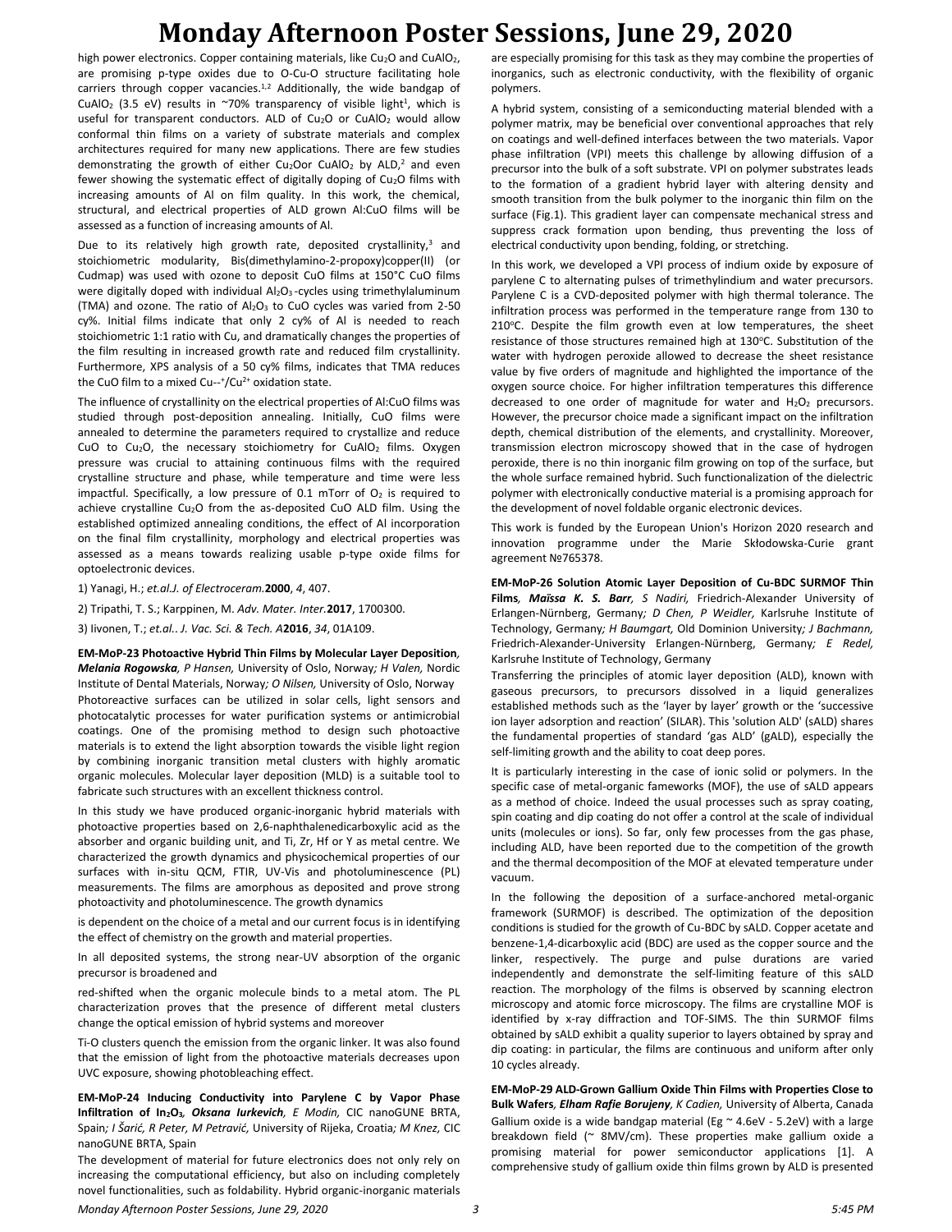high power electronics. Copper containing materials, like Cu<sub>2</sub>O and CuAlO<sub>2</sub>, are promising p-type oxides due to O-Cu-O structure facilitating hole carriers through copper vacancies. $1,2$  Additionally, the wide bandgap of CuAlO<sub>2</sub> (3.5 eV) results in ~70% transparency of visible light<sup>1</sup>, which is useful for transparent conductors. ALD of Cu<sub>2</sub>O or CuAlO<sub>2</sub> would allow conformal thin films on a variety of substrate materials and complex architectures required for many new applications. There are few studies demonstrating the growth of either Cu<sub>2</sub>Oor CuAlO<sub>2</sub> by ALD,<sup>2</sup> and even fewer showing the systematic effect of digitally doping of Cu<sub>2</sub>O films with increasing amounts of Al on film quality. In this work, the chemical, structural, and electrical properties of ALD grown Al:CuO films will be assessed as a function of increasing amounts of Al.

Due to its relatively high growth rate, deposited crystallinity,<sup>3</sup> and stoichiometric modularity, Bis(dimethylamino-2-propoxy)copper(II) (or Cudmap) was used with ozone to deposit CuO films at 150°C CuO films were digitally doped with individual Al<sub>2</sub>O<sub>3</sub>-cycles using trimethylaluminum (TMA) and ozone. The ratio of  $Al_2O_3$  to CuO cycles was varied from 2-50 cy%. Initial films indicate that only 2 cy% of Al is needed to reach stoichiometric 1:1 ratio with Cu, and dramatically changes the properties of the film resulting in increased growth rate and reduced film crystallinity. Furthermore, XPS analysis of a 50 cy% films, indicates that TMA reduces the CuO film to a mixed Cu-- + /Cu2+ oxidation state.

The influence of crystallinity on the electrical properties of Al:CuO films was studied through post-deposition annealing. Initially, CuO films were annealed to determine the parameters required to crystallize and reduce CuO to Cu<sub>2</sub>O, the necessary stoichiometry for CuAlO<sub>2</sub> films. Oxygen pressure was crucial to attaining continuous films with the required crystalline structure and phase, while temperature and time were less impactful. Specifically, a low pressure of 0.1 mTorr of  $O<sub>2</sub>$  is required to achieve crystalline Cu2O from the as-deposited CuO ALD film. Using the established optimized annealing conditions, the effect of Al incorporation on the final film crystallinity, morphology and electrical properties was assessed as a means towards realizing usable p-type oxide films for optoelectronic devices.

1) Yanagi, H.; *et.al.J. of Electroceram.***2000**, *4*, 407.

2) Tripathi, T. S.; Karppinen, M. *Adv. Mater. Inter.***2017**, 1700300.

3) Iivonen, T.; *et.al.*. *J. Vac. Sci. & Tech. A***2016**, *34*, 01A109.

**EM-MoP-23 Photoactive Hybrid Thin Films by Molecular Layer Deposition***, Melania Rogowska, P Hansen,* University of Oslo, Norway*; H Valen,* Nordic Institute of Dental Materials, Norway*; O Nilsen,* University of Oslo, Norway Photoreactive surfaces can be utilized in solar cells, light sensors and photocatalytic processes for water purification systems or antimicrobial coatings. One of the promising method to design such photoactive materials is to extend the light absorption towards the visible light region by combining inorganic transition metal clusters with highly aromatic organic molecules. Molecular layer deposition (MLD) is a suitable tool to fabricate such structures with an excellent thickness control.

In this study we have produced organic-inorganic hybrid materials with photoactive properties based on 2,6-naphthalenedicarboxylic acid as the absorber and organic building unit, and Ti, Zr, Hf or Y as metal centre. We characterized the growth dynamics and physicochemical properties of our surfaces with in-situ QCM, FTIR, UV-Vis and photoluminescence (PL) measurements. The films are amorphous as deposited and prove strong photoactivity and photoluminescence. The growth dynamics

is dependent on the choice of a metal and our current focus is in identifying the effect of chemistry on the growth and material properties.

In all deposited systems, the strong near-UV absorption of the organic precursor is broadened and

red-shifted when the organic molecule binds to a metal atom. The PL characterization proves that the presence of different metal clusters change the optical emission of hybrid systems and moreover

Ti-O clusters quench the emission from the organic linker. It was also found that the emission of light from the photoactive materials decreases upon UVC exposure, showing photobleaching effect.

**EM-MoP-24 Inducing Conductivity into Parylene C by Vapor Phase Infiltration of In2O3***, Oksana Iurkevich, E Modin,* CIC nanoGUNE BRTA, Spain*; I Šarić, R Peter, M Petravić,* University of Rijeka, Croatia*; M Knez,* CIC nanoGUNE BRTA, Spain

The development of material for future electronics does not only rely on increasing the computational efficiency, but also on including completely novel functionalities, such as foldability. Hybrid organic-inorganic materials are especially promising for this task as they may combine the properties of inorganics, such as electronic conductivity, with the flexibility of organic polymers.

A hybrid system, consisting of a semiconducting material blended with a polymer matrix, may be beneficial over conventional approaches that rely on coatings and well-defined interfaces between the two materials. Vapor phase infiltration (VPI) meets this challenge by allowing diffusion of a precursor into the bulk of a soft substrate. VPI on polymer substrates leads to the formation of a gradient hybrid layer with altering density and smooth transition from the bulk polymer to the inorganic thin film on the surface (Fig.1). This gradient layer can compensate mechanical stress and suppress crack formation upon bending, thus preventing the loss of electrical conductivity upon bending, folding, or stretching.

In this work, we developed a VPI process of indium oxide by exposure of parylene C to alternating pulses of trimethylindium and water precursors. Parylene C is a CVD-deposited polymer with high thermal tolerance. The infiltration process was performed in the temperature range from 130 to 210°C. Despite the film growth even at low temperatures, the sheet resistance of those structures remained high at 130°C. Substitution of the water with hydrogen peroxide allowed to decrease the sheet resistance value by five orders of magnitude and highlighted the importance of the oxygen source choice. For higher infiltration temperatures this difference decreased to one order of magnitude for water and  $H_2O_2$  precursors. However, the precursor choice made a significant impact on the infiltration depth, chemical distribution of the elements, and crystallinity. Moreover, transmission electron microscopy showed that in the case of hydrogen peroxide, there is no thin inorganic film growing on top of the surface, but the whole surface remained hybrid. Such functionalization of the dielectric polymer with electronically conductive material is a promising approach for the development of novel foldable organic electronic devices.

This work is funded by the European Union's Horizon 2020 research and innovation programme under the Marie Skłodowska-Curie grant agreement №765378.

**EM-MoP-26 Solution Atomic Layer Deposition of Cu-BDC SURMOF Thin Films***, Maïssa K. S. Barr, S Nadiri,* Friedrich-Alexander University of Erlangen-Nürnberg, Germany*; D Chen, P Weidler,* Karlsruhe Institute of Technology, Germany*; H Baumgart,* Old Dominion University*; J Bachmann,*  Friedrich-Alexander-University Erlangen-Nürnberg, Germany*; E Redel,*  Karlsruhe Institute of Technology, Germany

Transferring the principles of atomic layer deposition (ALD), known with gaseous precursors, to precursors dissolved in a liquid generalizes established methods such as the 'layer by layer' growth or the 'successive ion layer adsorption and reaction' (SILAR). This 'solution ALD' (sALD) shares the fundamental properties of standard 'gas ALD' (gALD), especially the self-limiting growth and the ability to coat deep pores.

It is particularly interesting in the case of ionic solid or polymers. In the specific case of metal-organic fameworks (MOF), the use of sALD appears as a method of choice. Indeed the usual processes such as spray coating, spin coating and dip coating do not offer a control at the scale of individual units (molecules or ions). So far, only few processes from the gas phase, including ALD, have been reported due to the competition of the growth and the thermal decomposition of the MOF at elevated temperature under vacuum.

In the following the deposition of a surface-anchored metal-organic framework (SURMOF) is described. The optimization of the deposition conditions is studied for the growth of Cu-BDC by sALD. Copper acetate and benzene-1,4-dicarboxylic acid (BDC) are used as the copper source and the linker, respectively. The purge and pulse durations are varied independently and demonstrate the self-limiting feature of this sALD reaction. The morphology of the films is observed by scanning electron microscopy and atomic force microscopy. The films are crystalline MOF is identified by x-ray diffraction and TOF-SIMS. The thin SURMOF films obtained by sALD exhibit a quality superior to layers obtained by spray and dip coating: in particular, the films are continuous and uniform after only 10 cycles already.

**EM-MoP-29 ALD-Grown Gallium Oxide Thin Films with Properties Close to Bulk Wafers***, Elham Rafie Borujeny, K Cadien,* University of Alberta, Canada Gallium oxide is a wide bandgap material (Eg  $\sim$  4.6eV - 5.2eV) with a large breakdown field (~ 8MV/cm). These properties make gallium oxide a promising material for power semiconductor applications [1]. A comprehensive study of gallium oxide thin films grown by ALD is presented

*Monday Afternoon Poster Sessions, June 29, 2020 3 5:45 PM*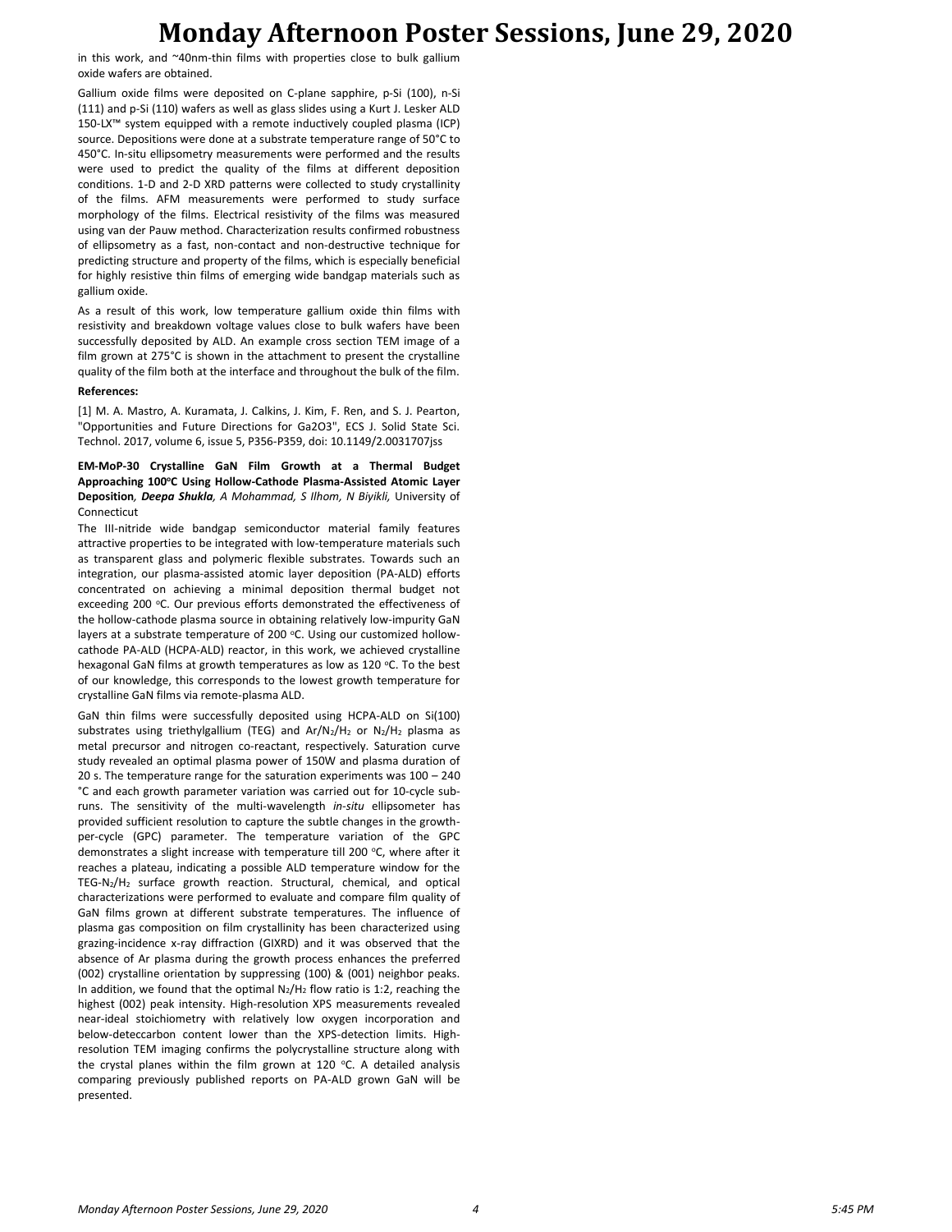in this work, and ~40nm-thin films with properties close to bulk gallium oxide wafers are obtained.

Gallium oxide films were deposited on C-plane sapphire, p-Si (100), n-Si (111) and p-Si (110) wafers as well as glass slides using a Kurt J. Lesker ALD 150-LX™ system equipped with a remote inductively coupled plasma (ICP) source. Depositions were done at a substrate temperature range of 50°C to 450°C. In-situ ellipsometry measurements were performed and the results were used to predict the quality of the films at different deposition conditions. 1-D and 2-D XRD patterns were collected to study crystallinity of the films. AFM measurements were performed to study surface morphology of the films. Electrical resistivity of the films was measured using van der Pauw method. Characterization results confirmed robustness of ellipsometry as a fast, non-contact and non-destructive technique for predicting structure and property of the films, which is especially beneficial for highly resistive thin films of emerging wide bandgap materials such as gallium oxide.

As a result of this work, low temperature gallium oxide thin films with resistivity and breakdown voltage values close to bulk wafers have been successfully deposited by ALD. An example cross section TEM image of a film grown at 275°C is shown in the attachment to present the crystalline quality of the film both at the interface and throughout the bulk of the film.

#### **References:**

[1] M. A. Mastro, A. Kuramata, J. Calkins, J. Kim, F. Ren, and S. J. Pearton, "Opportunities and Future Directions for Ga2O3", ECS J. Solid State Sci. Technol. 2017, volume 6, issue 5, P356-P359, doi: 10.1149/2.0031707jss

**EM-MoP-30 Crystalline GaN Film Growth at a Thermal Budget Approaching 100<sup>o</sup>C Using Hollow-Cathode Plasma-Assisted Atomic Layer Deposition***, Deepa Shukla, A Mohammad, S Ilhom, N Biyikli,* University of Connecticut

The III-nitride wide bandgap semiconductor material family features attractive properties to be integrated with low-temperature materials such as transparent glass and polymeric flexible substrates. Towards such an integration, our plasma-assisted atomic layer deposition (PA-ALD) efforts concentrated on achieving a minimal deposition thermal budget not exceeding 200 °C. Our previous efforts demonstrated the effectiveness of the hollow-cathode plasma source in obtaining relatively low-impurity GaN layers at a substrate temperature of 200 °C. Using our customized hollowcathode PA-ALD (HCPA-ALD) reactor, in this work, we achieved crystalline hexagonal GaN films at growth temperatures as low as 120 °C. To the best of our knowledge, this corresponds to the lowest growth temperature for crystalline GaN films via remote-plasma ALD.

GaN thin films were successfully deposited using HCPA-ALD on Si(100) substrates using triethylgallium (TEG) and  $Ar/N_2/H_2$  or  $N_2/H_2$  plasma as metal precursor and nitrogen co-reactant, respectively. Saturation curve study revealed an optimal plasma power of 150W and plasma duration of 20 s. The temperature range for the saturation experiments was 100 – 240 °C and each growth parameter variation was carried out for 10-cycle subruns. The sensitivity of the multi-wavelength *in-situ* ellipsometer has provided sufficient resolution to capture the subtle changes in the growthper-cycle (GPC) parameter. The temperature variation of the GPC demonstrates a slight increase with temperature till 200 °C, where after it reaches a plateau, indicating a possible ALD temperature window for the TEG-N2/H<sup>2</sup> surface growth reaction. Structural, chemical, and optical characterizations were performed to evaluate and compare film quality of GaN films grown at different substrate temperatures. The influence of plasma gas composition on film crystallinity has been characterized using grazing-incidence x-ray diffraction (GIXRD) and it was observed that the absence of Ar plasma during the growth process enhances the preferred (002) crystalline orientation by suppressing (100) & (001) neighbor peaks. In addition, we found that the optimal  $N_2/H_2$  flow ratio is 1:2, reaching the highest (002) peak intensity. High-resolution XPS measurements revealed near-ideal stoichiometry with relatively low oxygen incorporation and below-deteccarbon content lower than the XPS-detection limits. Highresolution TEM imaging confirms the polycrystalline structure along with the crystal planes within the film grown at 120  $^{\circ}$ C. A detailed analysis comparing previously published reports on PA-ALD grown GaN will be presented.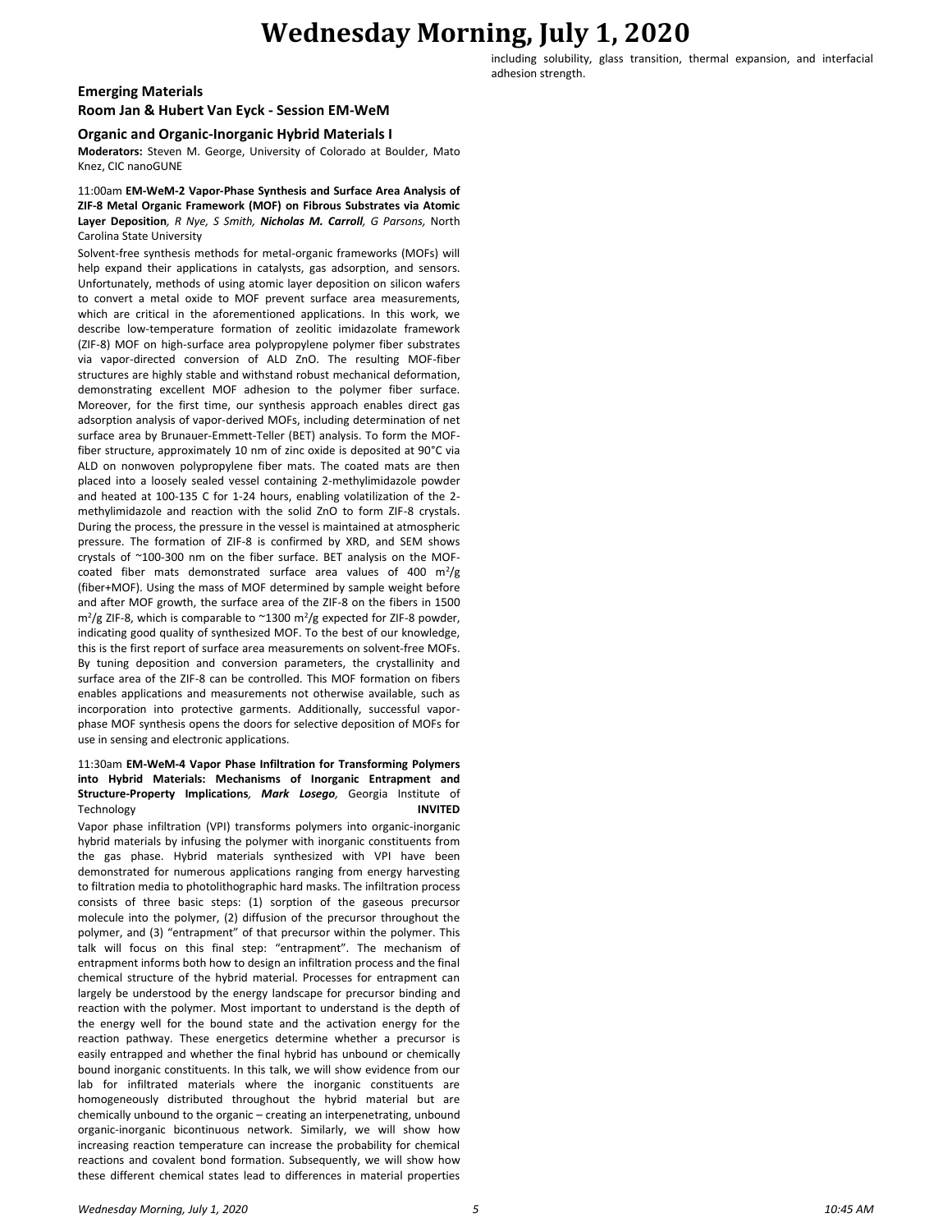## **Wednesday Morning, July 1, 2020**

including solubility, glass transition, thermal expansion, and interfacial adhesion strength.

### **Emerging Materials**

**Room Jan & Hubert Van Eyck - Session EM-WeM**

#### **Organic and Organic-Inorganic Hybrid Materials I**

**Moderators:** Steven M. George, University of Colorado at Boulder, Mato Knez, CIC nanoGUNE

#### 11:00am **EM-WeM-2 Vapor-Phase Synthesis and Surface Area Analysis of ZIF-8 Metal Organic Framework (MOF) on Fibrous Substrates via Atomic Layer Deposition***, R Nye, S Smith, Nicholas M. Carroll, G Parsons,* North Carolina State University

Solvent-free synthesis methods for metal-organic frameworks (MOFs) will help expand their applications in catalysts, gas adsorption, and sensors. Unfortunately, methods of using atomic layer deposition on silicon wafers to convert a metal oxide to MOF prevent surface area measurements, which are critical in the aforementioned applications. In this work, we describe low-temperature formation of zeolitic imidazolate framework (ZIF-8) MOF on high-surface area polypropylene polymer fiber substrates via vapor-directed conversion of ALD ZnO. The resulting MOF-fiber structures are highly stable and withstand robust mechanical deformation, demonstrating excellent MOF adhesion to the polymer fiber surface. Moreover, for the first time, our synthesis approach enables direct gas adsorption analysis of vapor-derived MOFs, including determination of net surface area by Brunauer-Emmett-Teller (BET) analysis. To form the MOFfiber structure, approximately 10 nm of zinc oxide is deposited at 90°C via ALD on nonwoven polypropylene fiber mats. The coated mats are then placed into a loosely sealed vessel containing 2-methylimidazole powder and heated at 100-135 C for 1-24 hours, enabling volatilization of the 2 methylimidazole and reaction with the solid ZnO to form ZIF-8 crystals. During the process, the pressure in the vessel is maintained at atmospheric pressure. The formation of ZIF-8 is confirmed by XRD, and SEM shows crystals of ~100-300 nm on the fiber surface. BET analysis on the MOFcoated fiber mats demonstrated surface area values of 400  $m^2/g$ (fiber+MOF). Using the mass of MOF determined by sample weight before and after MOF growth, the surface area of the ZIF-8 on the fibers in 1500  $m^2/g$  ZIF-8, which is comparable to  $\sim 1300 \; m^2/g$  expected for ZIF-8 powder, indicating good quality of synthesized MOF. To the best of our knowledge, this is the first report of surface area measurements on solvent-free MOFs. By tuning deposition and conversion parameters, the crystallinity and surface area of the ZIF-8 can be controlled. This MOF formation on fibers enables applications and measurements not otherwise available, such as incorporation into protective garments. Additionally, successful vaporphase MOF synthesis opens the doors for selective deposition of MOFs for use in sensing and electronic applications.

#### 11:30am **EM-WeM-4 Vapor Phase Infiltration for Transforming Polymers into Hybrid Materials: Mechanisms of Inorganic Entrapment and Structure-Property Implications***, Mark Losego,* Georgia Institute of Technology **INVITED**

Vapor phase infiltration (VPI) transforms polymers into organic-inorganic hybrid materials by infusing the polymer with inorganic constituents from the gas phase. Hybrid materials synthesized with VPI have been demonstrated for numerous applications ranging from energy harvesting to filtration media to photolithographic hard masks. The infiltration process consists of three basic steps: (1) sorption of the gaseous precursor molecule into the polymer, (2) diffusion of the precursor throughout the polymer, and (3) "entrapment" of that precursor within the polymer. This talk will focus on this final step: "entrapment". The mechanism of entrapment informs both how to design an infiltration process and the final chemical structure of the hybrid material. Processes for entrapment can largely be understood by the energy landscape for precursor binding and reaction with the polymer. Most important to understand is the depth of the energy well for the bound state and the activation energy for the reaction pathway. These energetics determine whether a precursor is easily entrapped and whether the final hybrid has unbound or chemically bound inorganic constituents. In this talk, we will show evidence from our lab for infiltrated materials where the inorganic constituents are homogeneously distributed throughout the hybrid material but are chemically unbound to the organic – creating an interpenetrating, unbound organic-inorganic bicontinuous network. Similarly, we will show how increasing reaction temperature can increase the probability for chemical reactions and covalent bond formation. Subsequently, we will show how these different chemical states lead to differences in material properties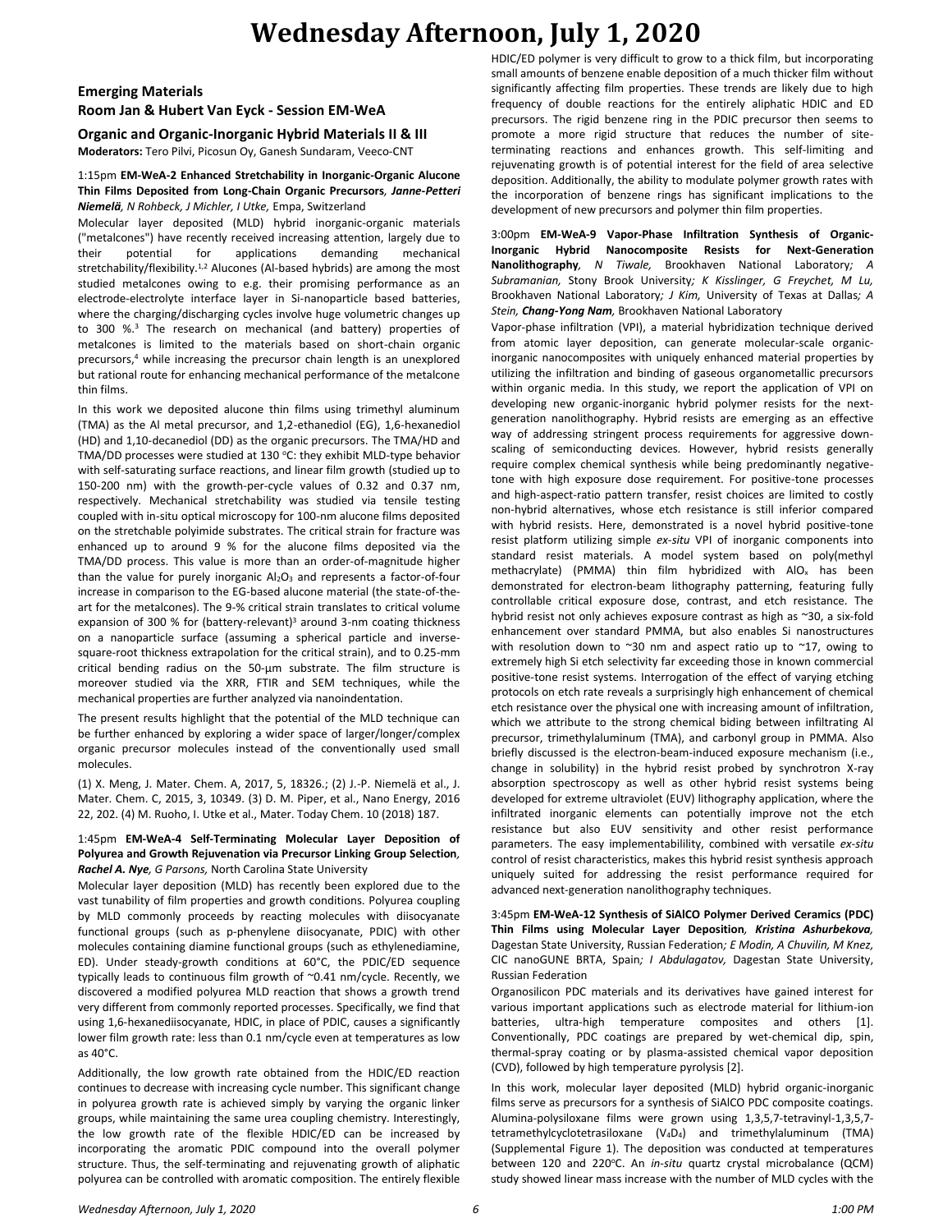# **Wednesday Afternoon, July 1, 2020**

### **Emerging Materials Room Jan & Hubert Van Eyck - Session EM-WeA**

#### **Organic and Organic-Inorganic Hybrid Materials II & III Moderators:** Tero Pilvi, Picosun Oy, Ganesh Sundaram, Veeco-CNT

#### 1:15pm **EM-WeA-2 Enhanced Stretchability in Inorganic-Organic Alucone Thin Films Deposited from Long-Chain Organic Precursors***, Janne-Petteri Niemelä, N Rohbeck, J Michler, I Utke,* Empa, Switzerland

Molecular layer deposited (MLD) hybrid inorganic-organic materials ("metalcones") have recently received increasing attention, largely due to their potential for applications demanding mechanical stretchability/flexibility.<sup>1,2</sup> Alucones (Al-based hybrids) are among the most studied metalcones owing to e.g. their promising performance as an electrode-electrolyte interface layer in Si-nanoparticle based batteries, where the charging/discharging cycles involve huge volumetric changes up to 300 %.<sup>3</sup> The research on mechanical (and battery) properties of metalcones is limited to the materials based on short-chain organic precursors,<sup>4</sup> while increasing the precursor chain length is an unexplored but rational route for enhancing mechanical performance of the metalcone thin films.

In this work we deposited alucone thin films using trimethyl aluminum (TMA) as the Al metal precursor, and 1,2-ethanediol (EG), 1,6-hexanediol (HD) and 1,10-decanediol (DD) as the organic precursors. The TMA/HD and TMA/DD processes were studied at 130 °C: they exhibit MLD-type behavior with self-saturating surface reactions, and linear film growth (studied up to 150-200 nm) with the growth-per-cycle values of 0.32 and 0.37 nm, respectively. Mechanical stretchability was studied via tensile testing coupled with in-situ optical microscopy for 100-nm alucone films deposited on the stretchable polyimide substrates. The critical strain for fracture was enhanced up to around 9 % for the alucone films deposited via the TMA/DD process. This value is more than an order-of-magnitude higher than the value for purely inorganic  $Al_2O_3$  and represents a factor-of-four increase in comparison to the EG-based alucone material (the state-of-theart for the metalcones). The 9-% critical strain translates to critical volume expansion of 300 % for (battery-relevant)<sup>3</sup> around 3-nm coating thickness on a nanoparticle surface (assuming a spherical particle and inversesquare-root thickness extrapolation for the critical strain), and to 0.25-mm critical bending radius on the 50-µm substrate. The film structure is moreover studied via the XRR, FTIR and SEM techniques, while the mechanical properties are further analyzed via nanoindentation.

The present results highlight that the potential of the MLD technique can be further enhanced by exploring a wider space of larger/longer/complex organic precursor molecules instead of the conventionally used small molecules.

(1) X. Meng, J. Mater. Chem. A, 2017, 5, 18326.; (2) J.-P. Niemelä et al., J. Mater. Chem. C, 2015, 3, 10349. (3) D. M. Piper, et al., Nano Energy, 2016 22, 202. (4) M. Ruoho, I. Utke et al., Mater. Today Chem. 10 (2018) 187.

#### 1:45pm **EM-WeA-4 Self-Terminating Molecular Layer Deposition of Polyurea and Growth Rejuvenation via Precursor Linking Group Selection***, Rachel A. Nye, G Parsons,* North Carolina State University

Molecular layer deposition (MLD) has recently been explored due to the vast tunability of film properties and growth conditions. Polyurea coupling by MLD commonly proceeds by reacting molecules with diisocyanate functional groups (such as p-phenylene diisocyanate, PDIC) with other molecules containing diamine functional groups (such as ethylenediamine, ED). Under steady-growth conditions at 60°C, the PDIC/ED sequence typically leads to continuous film growth of ~0.41 nm/cycle. Recently, we discovered a modified polyurea MLD reaction that shows a growth trend very different from commonly reported processes. Specifically, we find that using 1,6-hexanediisocyanate, HDIC, in place of PDIC, causes a significantly lower film growth rate: less than 0.1 nm/cycle even at temperatures as low as 40°C.

Additionally, the low growth rate obtained from the HDIC/ED reaction continues to decrease with increasing cycle number. This significant change in polyurea growth rate is achieved simply by varying the organic linker groups, while maintaining the same urea coupling chemistry. Interestingly, the low growth rate of the flexible HDIC/ED can be increased by incorporating the aromatic PDIC compound into the overall polymer structure. Thus, the self-terminating and rejuvenating growth of aliphatic polyurea can be controlled with aromatic composition. The entirely flexible

HDIC/ED polymer is very difficult to grow to a thick film, but incorporating small amounts of benzene enable deposition of a much thicker film without significantly affecting film properties. These trends are likely due to high frequency of double reactions for the entirely aliphatic HDIC and ED precursors. The rigid benzene ring in the PDIC precursor then seems to promote a more rigid structure that reduces the number of siteterminating reactions and enhances growth. This self-limiting and rejuvenating growth is of potential interest for the field of area selective deposition. Additionally, the ability to modulate polymer growth rates with the incorporation of benzene rings has significant implications to the development of new precursors and polymer thin film properties.

3:00pm **EM-WeA-9 Vapor-Phase Infiltration Synthesis of Organic-Inorganic Hybrid Nanocomposite Resists for Next-Generation Nanolithography***, N Tiwale,* Brookhaven National Laboratory*; A Subramanian,* Stony Brook University*; K Kisslinger, G Freychet, M Lu,*  Brookhaven National Laboratory*; J Kim,* University of Texas at Dallas*; A Stein, Chang-Yong Nam,* Brookhaven National Laboratory

Vapor-phase infiltration (VPI), a material hybridization technique derived from atomic layer deposition, can generate molecular-scale organicinorganic nanocomposites with uniquely enhanced material properties by utilizing the infiltration and binding of gaseous organometallic precursors within organic media. In this study, we report the application of VPI on developing new organic-inorganic hybrid polymer resists for the nextgeneration nanolithography. Hybrid resists are emerging as an effective way of addressing stringent process requirements for aggressive downscaling of semiconducting devices. However, hybrid resists generally require complex chemical synthesis while being predominantly negativetone with high exposure dose requirement. For positive-tone processes and high-aspect-ratio pattern transfer, resist choices are limited to costly non-hybrid alternatives, whose etch resistance is still inferior compared with hybrid resists. Here, demonstrated is a novel hybrid positive-tone resist platform utilizing simple *ex-situ* VPI of inorganic components into standard resist materials. A model system based on poly(methyl methacrylate) (PMMA) thin film hybridized with  $AIO<sub>x</sub>$  has been demonstrated for electron-beam lithography patterning, featuring fully controllable critical exposure dose, contrast, and etch resistance. The hybrid resist not only achieves exposure contrast as high as ~30, a six-fold enhancement over standard PMMA, but also enables Si nanostructures with resolution down to ~30 nm and aspect ratio up to ~17, owing to extremely high Si etch selectivity far exceeding those in known commercial positive-tone resist systems. Interrogation of the effect of varying etching protocols on etch rate reveals a surprisingly high enhancement of chemical etch resistance over the physical one with increasing amount of infiltration, which we attribute to the strong chemical biding between infiltrating Al precursor, trimethylaluminum (TMA), and carbonyl group in PMMA. Also briefly discussed is the electron-beam-induced exposure mechanism (i.e., change in solubility) in the hybrid resist probed by synchrotron X-ray absorption spectroscopy as well as other hybrid resist systems being developed for extreme ultraviolet (EUV) lithography application, where the infiltrated inorganic elements can potentially improve not the etch resistance but also EUV sensitivity and other resist performance parameters. The easy implementabilility, combined with versatile *ex-situ* control of resist characteristics, makes this hybrid resist synthesis approach uniquely suited for addressing the resist performance required for advanced next-generation nanolithography techniques.

#### 3:45pm **EM-WeA-12 Synthesis of SiAlCO Polymer Derived Ceramics (PDC) Thin Films using Molecular Layer Deposition***, Kristina Ashurbekova,*  Dagestan State University, Russian Federation*; E Modin, A Chuvilin, M Knez,*  CIC nanoGUNE BRTA, Spain*; I Abdulagatov,* Dagestan State University, Russian Federation

Organosilicon PDC materials and its derivatives have gained interest for various important applications such as electrode material for lithium-ion batteries, ultra-high temperature composites and others [1]. Conventionally, PDC coatings are prepared by wet-chemical dip, spin, thermal-spray coating or by plasma-assisted chemical vapor deposition (CVD), followed by high temperature pyrolysis [2].

In this work, molecular layer deposited (MLD) hybrid organic-inorganic films serve as precursors for a synthesis of SiAlCO PDC composite coatings. Alumina-polysiloxane films were grown using 1,3,5,7-tetravinyl-1,3,5,7 tetramethylcyclotetrasiloxane (V4D4) and trimethylaluminum (TMA) (Supplemental Figure 1). The deposition was conducted at temperatures between 120 and 220°C. An *in-situ* quartz crystal microbalance (QCM) study showed linear mass increase with the number of MLD cycles with the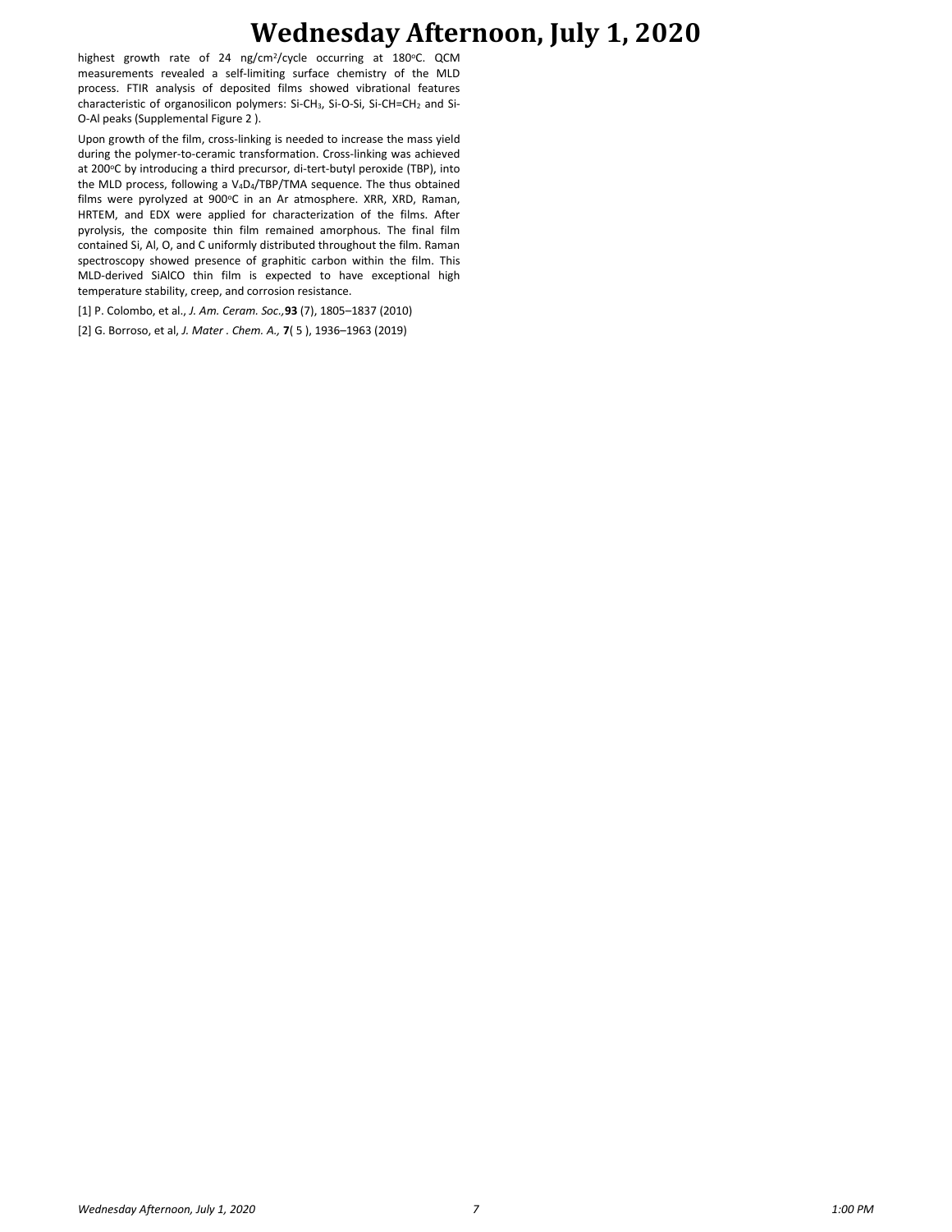## **Wednesday Afternoon, July 1, 2020**

highest growth rate of 24 ng/cm<sup>2</sup>/cycle occurring at 180°C. QCM measurements revealed a self-limiting surface chemistry of the MLD process. FTIR analysis of deposited films showed vibrational features characteristic of organosilicon polymers: Si-CH3, Si-O-Si, Si-CH=CH<sup>2</sup> and Si-O-Al peaks (Supplemental Figure 2 ).

Upon growth of the film, cross-linking is needed to increase the mass yield during the polymer-to-ceramic transformation. Cross-linking was achieved at 200°C by introducing a third precursor, di-tert-butyl peroxide (TBP), into the MLD process, following a V4D4/TBP/TMA sequence. The thus obtained films were pyrolyzed at 900°C in an Ar atmosphere. XRR, XRD, Raman, HRTEM, and EDX were applied for characterization of the films. After pyrolysis, the composite thin film remained amorphous. The final film contained Si, Al, O, and C uniformly distributed throughout the film. Raman spectroscopy showed presence of graphitic carbon within the film. This MLD-derived SiAlCO thin film is expected to have exceptional high temperature stability, creep, and corrosion resistance.

[1] P. Colombo, et al., *J. Am. Ceram. Soc.,***93** (7), 1805–1837 (2010)

[2] G. Borroso, et al, *J. Mater . Chem. A.,* **7**( 5 ), 1936–1963 (2019)